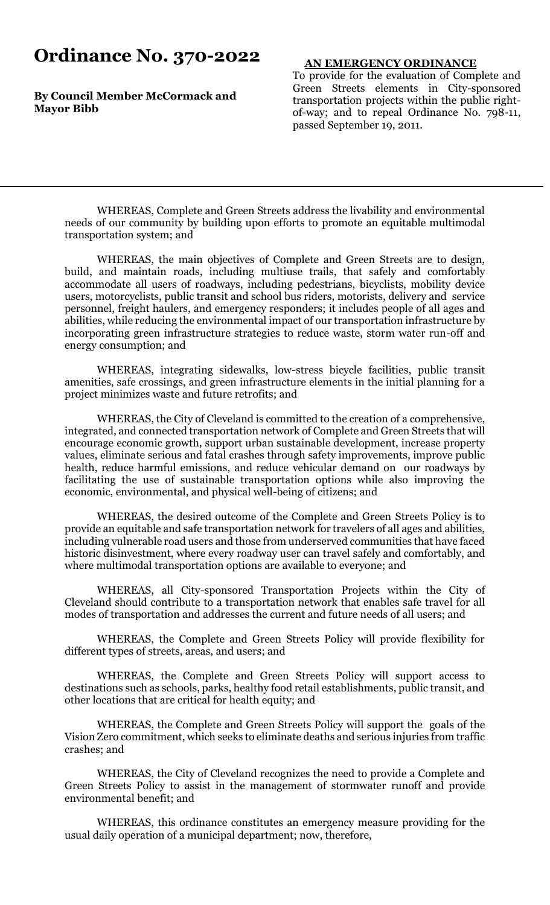# **Ordinance No. 370-2022**

**By Council Member McCormack and Mayor Bibb**

#### **AN EMERGENCY ORDINANCE**

To provide for the evaluation of Complete and Green Streets elements in City-sponsored transportation projects within the public rightof-way; and to repeal Ordinance No. 798-11, passed September 19, 2011.

WHEREAS, Complete and Green Streets address the livability and environmental needs of our community by building upon efforts to promote an equitable multimodal transportation system; and

WHEREAS, the main objectives of Complete and Green Streets are to design, build, and maintain roads, including multiuse trails, that safely and comfortably accommodate all users of roadways, including pedestrians, bicyclists, mobility device users, motorcyclists, public transit and school bus riders, motorists, delivery and service personnel, freight haulers, and emergency responders; it includes people of all ages and abilities, while reducing the environmental impact of our transportation infrastructure by incorporating green infrastructure strategies to reduce waste, storm water run-off and energy consumption; and

WHEREAS, integrating sidewalks, low-stress bicycle facilities, public transit amenities, safe crossings, and green infrastructure elements in the initial planning for a project minimizes waste and future retrofits; and

WHEREAS, the City of Cleveland is committed to the creation of a comprehensive, integrated, and connected transportation network of Complete and Green Streets that will encourage economic growth, support urban sustainable development, increase property values, eliminate serious and fatal crashes through safety improvements, improve public health, reduce harmful emissions, and reduce vehicular demand on our roadways by facilitating the use of sustainable transportation options while also improving the economic, environmental, and physical well-being of citizens; and

WHEREAS, the desired outcome of the Complete and Green Streets Policy is to provide an equitable and safe transportation network for travelers of all ages and abilities, including vulnerable road users and those from underserved communities that have faced historic disinvestment, where every roadway user can travel safely and comfortably, and where multimodal transportation options are available to everyone; and

WHEREAS, all City-sponsored Transportation Projects within the City of Cleveland should contribute to a transportation network that enables safe travel for all modes of transportation and addresses the current and future needs of all users; and

WHEREAS, the Complete and Green Streets Policy will provide flexibility for different types of streets, areas, and users; and

WHEREAS, the Complete and Green Streets Policy will support access to destinations such as schools, parks, healthy food retail establishments, public transit, and other locations that are critical for health equity; and

WHEREAS, the Complete and Green Streets Policy will support the goals of the Vision Zero commitment, which seeks to eliminate deaths and serious injuries from traffic crashes; and

WHEREAS, the City of Cleveland recognizes the need to provide a Complete and Green Streets Policy to assist in the management of stormwater runoff and provide environmental benefit; and

WHEREAS, this ordinance constitutes an emergency measure providing for the usual daily operation of a municipal department; now, therefore,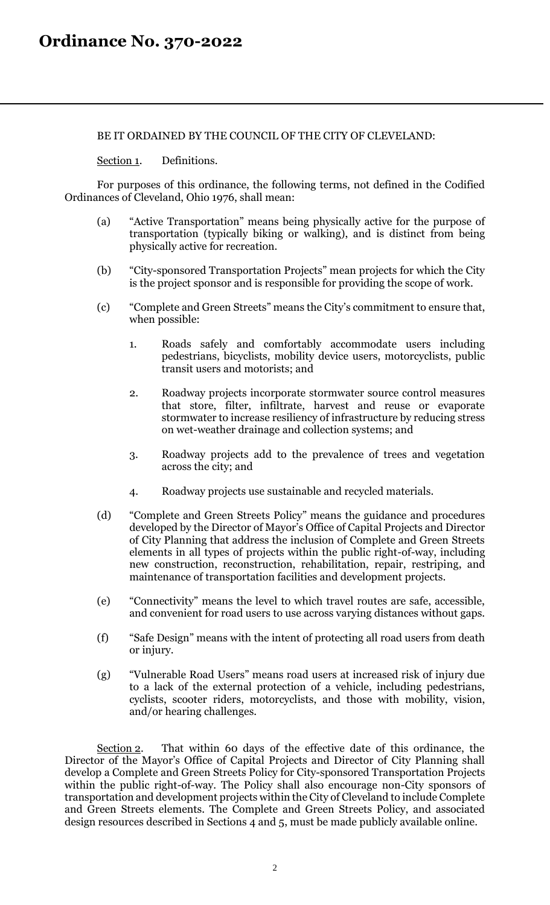### BE IT ORDAINED BY THE COUNCIL OF THE CITY OF CLEVELAND:

Section 1. Definitions.

For purposes of this ordinance, the following terms, not defined in the Codified Ordinances of Cleveland, Ohio 1976, shall mean:

- (a) "Active Transportation" means being physically active for the purpose of transportation (typically biking or walking), and is distinct from being physically active for recreation.
- (b) "City-sponsored Transportation Projects" mean projects for which the City is the project sponsor and is responsible for providing the scope of work.
- (c) "Complete and Green Streets" means the City's commitment to ensure that, when possible:
	- 1. Roads safely and comfortably accommodate users including pedestrians, bicyclists, mobility device users, motorcyclists, public transit users and motorists; and
	- 2. Roadway projects incorporate stormwater source control measures that store, filter, infiltrate, harvest and reuse or evaporate stormwater to increase resiliency of infrastructure by reducing stress on wet-weather drainage and collection systems; and
	- 3. Roadway projects add to the prevalence of trees and vegetation across the city; and
	- 4. Roadway projects use sustainable and recycled materials.
- (d) "Complete and Green Streets Policy" means the guidance and procedures developed by the Director of Mayor's Office of Capital Projects and Director of City Planning that address the inclusion of Complete and Green Streets elements in all types of projects within the public right-of-way, including new construction, reconstruction, rehabilitation, repair, restriping, and maintenance of transportation facilities and development projects.
- (e) "Connectivity" means the level to which travel routes are safe, accessible, and convenient for road users to use across varying distances without gaps.
- (f) "Safe Design" means with the intent of protecting all road users from death or injury.
- (g) "Vulnerable Road Users" means road users at increased risk of injury due to a lack of the external protection of a vehicle, including pedestrians, cyclists, scooter riders, motorcyclists, and those with mobility, vision, and/or hearing challenges.

Section 2. That within 60 days of the effective date of this ordinance, the Director of the Mayor's Office of Capital Projects and Director of City Planning shall develop a Complete and Green Streets Policy for City-sponsored Transportation Projects within the public right-of-way. The Policy shall also encourage non-City sponsors of transportation and development projects within the City of Cleveland to include Complete and Green Streets elements. The Complete and Green Streets Policy, and associated design resources described in Sections 4 and 5, must be made publicly available online.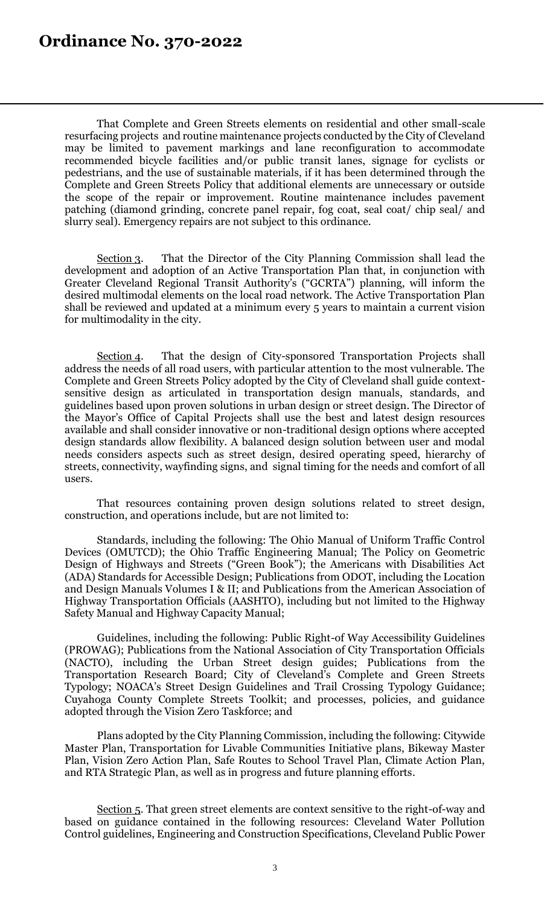That Complete and Green Streets elements on residential and other small-scale resurfacing projects and routine maintenance projects conducted by the City of Cleveland may be limited to pavement markings and lane reconfiguration to accommodate recommended bicycle facilities and/or public transit lanes, signage for cyclists or pedestrians, and the use of sustainable materials, if it has been determined through the Complete and Green Streets Policy that additional elements are unnecessary or outside the scope of the repair or improvement. Routine maintenance includes pavement patching (diamond grinding, concrete panel repair, fog coat, seal coat/ chip seal/ and slurry seal). Emergency repairs are not subject to this ordinance.

Section 3. That the Director of the City Planning Commission shall lead the development and adoption of an Active Transportation Plan that, in conjunction with Greater Cleveland Regional Transit Authority's ("GCRTA") planning, will inform the desired multimodal elements on the local road network. The Active Transportation Plan shall be reviewed and updated at a minimum every 5 years to maintain a current vision for multimodality in the city.

Section 4. That the design of City-sponsored Transportation Projects shall address the needs of all road users, with particular attention to the most vulnerable. The Complete and Green Streets Policy adopted by the City of Cleveland shall guide contextsensitive design as articulated in transportation design manuals, standards, and guidelines based upon proven solutions in urban design or street design. The Director of the Mayor's Office of Capital Projects shall use the best and latest design resources available and shall consider innovative or non-traditional design options where accepted design standards allow flexibility. A balanced design solution between user and modal needs considers aspects such as street design, desired operating speed, hierarchy of streets, connectivity, wayfinding signs, and signal timing for the needs and comfort of all users.

That resources containing proven design solutions related to street design, construction, and operations include, but are not limited to:

Standards, including the following: The Ohio Manual of Uniform Traffic Control Devices (OMUTCD); the Ohio Traffic Engineering Manual; The Policy on Geometric Design of Highways and Streets ("Green Book"); the Americans with Disabilities Act (ADA) Standards for Accessible Design; Publications from ODOT, including the Location and Design Manuals Volumes I & II; and Publications from the American Association of Highway Transportation Officials (AASHTO), including but not limited to the Highway Safety Manual and Highway Capacity Manual;

Guidelines, including the following: Public Right-of Way Accessibility Guidelines (PROWAG); Publications from the National Association of City Transportation Officials (NACTO), including the Urban Street design guides; Publications from the Transportation Research Board; City of Cleveland's Complete and Green Streets Typology; NOACA's Street Design Guidelines and Trail Crossing Typology Guidance; Cuyahoga County Complete Streets Toolkit; and processes, policies, and guidance adopted through the Vision Zero Taskforce; and

Plans adopted by the City Planning Commission, including the following: Citywide Master Plan, Transportation for Livable Communities Initiative plans, Bikeway Master Plan, Vision Zero Action Plan, Safe Routes to School Travel Plan, Climate Action Plan, and RTA Strategic Plan, as well as in progress and future planning efforts.

Section 5. That green street elements are context sensitive to the right-of-way and based on guidance contained in the following resources: Cleveland Water Pollution Control guidelines, Engineering and Construction Specifications, Cleveland Public Power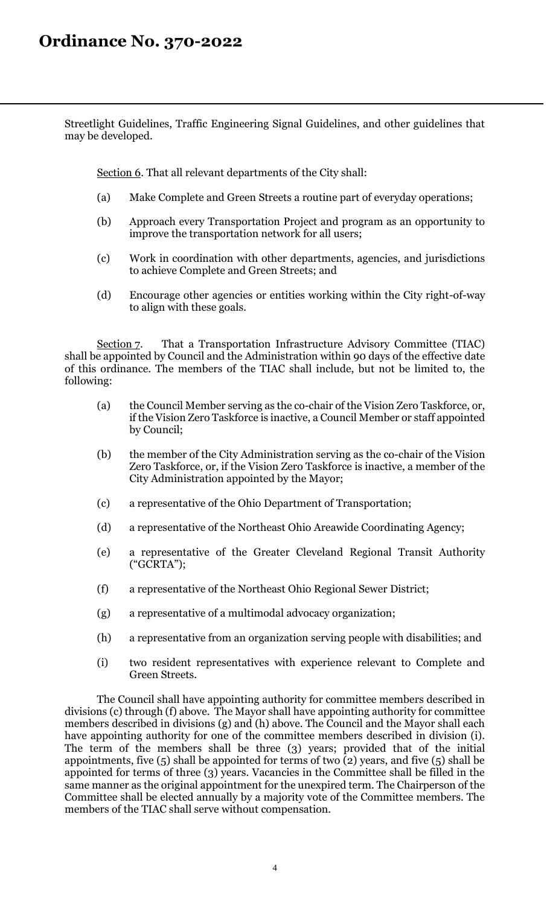Streetlight Guidelines, Traffic Engineering Signal Guidelines, and other guidelines that may be developed.

Section 6. That all relevant departments of the City shall:

- (a) Make Complete and Green Streets a routine part of everyday operations;
- (b) Approach every Transportation Project and program as an opportunity to improve the transportation network for all users;
- (c) Work in coordination with other departments, agencies, and jurisdictions to achieve Complete and Green Streets; and
- (d) Encourage other agencies or entities working within the City right-of-way to align with these goals.

Section 7. That a Transportation Infrastructure Advisory Committee (TIAC) shall be appointed by Council and the Administration within 90 days of the effective date of this ordinance. The members of the TIAC shall include, but not be limited to, the following:

- (a) the Council Member serving as the co-chair of the Vision Zero Taskforce, or, if the Vision Zero Taskforce is inactive, a Council Member or staff appointed by Council;
- (b) the member of the City Administration serving as the co-chair of the Vision Zero Taskforce, or, if the Vision Zero Taskforce is inactive, a member of the City Administration appointed by the Mayor;
- (c) a representative of the Ohio Department of Transportation;
- (d) a representative of the Northeast Ohio Areawide Coordinating Agency;
- (e) a representative of the Greater Cleveland Regional Transit Authority ("GCRTA");
- (f) a representative of the Northeast Ohio Regional Sewer District;
- (g) a representative of a multimodal advocacy organization;
- (h) a representative from an organization serving people with disabilities; and
- (i) two resident representatives with experience relevant to Complete and Green Streets.

The Council shall have appointing authority for committee members described in divisions (c) through (f) above. The Mayor shall have appointing authority for committee members described in divisions (g) and (h) above. The Council and the Mayor shall each have appointing authority for one of the committee members described in division (i). The term of the members shall be three (3) years; provided that of the initial appointments, five (5) shall be appointed for terms of two (2) years, and five (5) shall be appointed for terms of three (3) years. Vacancies in the Committee shall be filled in the same manner as the original appointment for the unexpired term. The Chairperson of the Committee shall be elected annually by a majority vote of the Committee members. The members of the TIAC shall serve without compensation.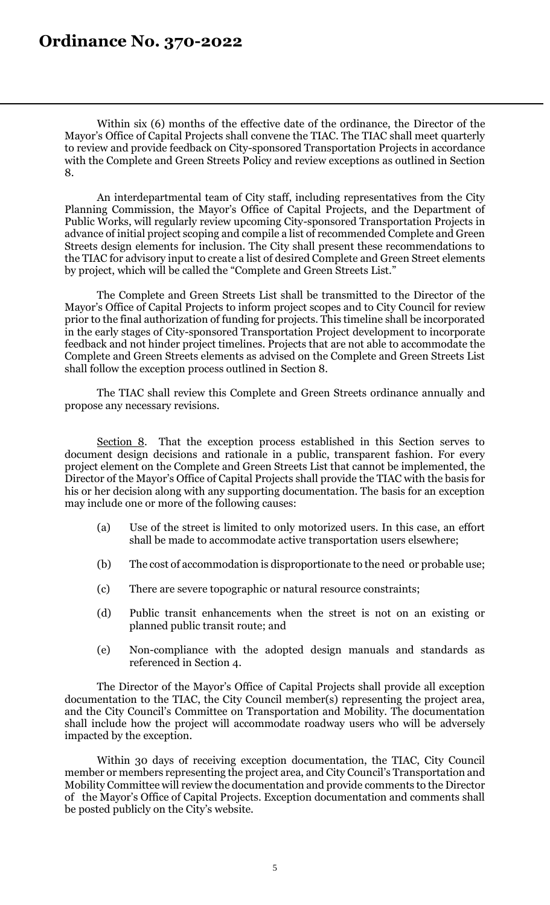Within six (6) months of the effective date of the ordinance, the Director of the Mayor's Office of Capital Projects shall convene the TIAC. The TIAC shall meet quarterly to review and provide feedback on City-sponsored Transportation Projects in accordance with the Complete and Green Streets Policy and review exceptions as outlined in Section 8.

An interdepartmental team of City staff, including representatives from the City Planning Commission, the Mayor's Office of Capital Projects, and the Department of Public Works, will regularly review upcoming City-sponsored Transportation Projects in advance of initial project scoping and compile a list of recommended Complete and Green Streets design elements for inclusion. The City shall present these recommendations to the TIAC for advisory input to create a list of desired Complete and Green Street elements by project, which will be called the "Complete and Green Streets List."

The Complete and Green Streets List shall be transmitted to the Director of the Mayor's Office of Capital Projects to inform project scopes and to City Council for review prior to the final authorization of funding for projects. This timeline shall be incorporated in the early stages of City-sponsored Transportation Project development to incorporate feedback and not hinder project timelines. Projects that are not able to accommodate the Complete and Green Streets elements as advised on the Complete and Green Streets List shall follow the exception process outlined in Section 8.

The TIAC shall review this Complete and Green Streets ordinance annually and propose any necessary revisions.

Section 8. That the exception process established in this Section serves to document design decisions and rationale in a public, transparent fashion. For every project element on the Complete and Green Streets List that cannot be implemented, the Director of the Mayor's Office of Capital Projects shall provide the TIAC with the basis for his or her decision along with any supporting documentation. The basis for an exception may include one or more of the following causes:

- (a) Use of the street is limited to only motorized users. In this case, an effort shall be made to accommodate active transportation users elsewhere;
- (b) The cost of accommodation is disproportionate to the need or probable use;
- (c) There are severe topographic or natural resource constraints;
- (d) Public transit enhancements when the street is not on an existing or planned public transit route; and
- (e) Non-compliance with the adopted design manuals and standards as referenced in Section 4.

The Director of the Mayor's Office of Capital Projects shall provide all exception documentation to the TIAC, the City Council member(s) representing the project area, and the City Council's Committee on Transportation and Mobility. The documentation shall include how the project will accommodate roadway users who will be adversely impacted by the exception.

Within 30 days of receiving exception documentation, the TIAC, City Council member or members representing the project area, and City Council's Transportation and Mobility Committee will review the documentation and provide comments to the Director of the Mayor's Office of Capital Projects. Exception documentation and comments shall be posted publicly on the City's website.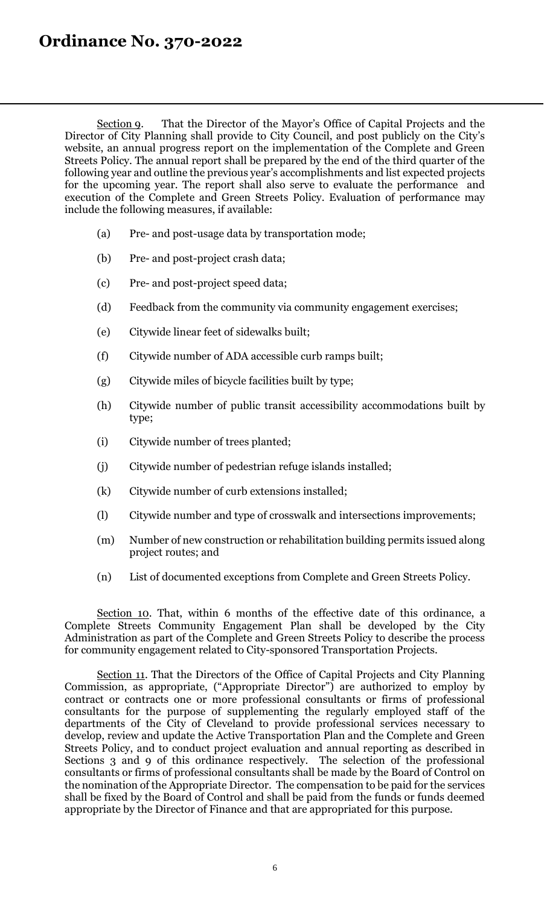### **Ordinance No. 370-2022**

Section 9. That the Director of the Mayor's Office of Capital Projects and the Director of City Planning shall provide to City Council, and post publicly on the City's website, an annual progress report on the implementation of the Complete and Green Streets Policy. The annual report shall be prepared by the end of the third quarter of the following year and outline the previous year's accomplishments and list expected projects for the upcoming year. The report shall also serve to evaluate the performance and execution of the Complete and Green Streets Policy. Evaluation of performance may include the following measures, if available:

- (a) Pre- and post-usage data by transportation mode;
- (b) Pre- and post-project crash data;
- (c) Pre- and post-project speed data;
- (d) Feedback from the community via community engagement exercises;
- (e) Citywide linear feet of sidewalks built;
- (f) Citywide number of ADA accessible curb ramps built;
- (g) Citywide miles of bicycle facilities built by type;
- (h) Citywide number of public transit accessibility accommodations built by type;
- (i) Citywide number of trees planted;
- (j) Citywide number of pedestrian refuge islands installed;
- (k) Citywide number of curb extensions installed;
- (l) Citywide number and type of crosswalk and intersections improvements;
- (m) Number of new construction or rehabilitation building permits issued along project routes; and
- (n) List of documented exceptions from Complete and Green Streets Policy.

Section 10. That, within 6 months of the effective date of this ordinance, a Complete Streets Community Engagement Plan shall be developed by the City Administration as part of the Complete and Green Streets Policy to describe the process for community engagement related to City-sponsored Transportation Projects.

Section 11. That the Directors of the Office of Capital Projects and City Planning Commission, as appropriate, ("Appropriate Director") are authorized to employ by contract or contracts one or more professional consultants or firms of professional consultants for the purpose of supplementing the regularly employed staff of the departments of the City of Cleveland to provide professional services necessary to develop, review and update the Active Transportation Plan and the Complete and Green Streets Policy, and to conduct project evaluation and annual reporting as described in Sections 3 and 9 of this ordinance respectively. The selection of the professional consultants or firms of professional consultants shall be made by the Board of Control on the nomination of the Appropriate Director. The compensation to be paid for the services shall be fixed by the Board of Control and shall be paid from the funds or funds deemed appropriate by the Director of Finance and that are appropriated for this purpose.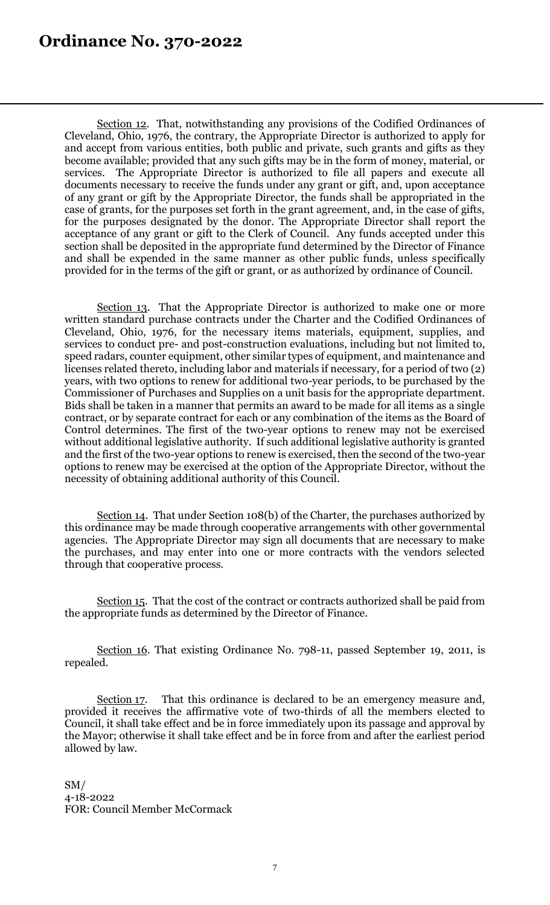Section 12. That, notwithstanding any provisions of the Codified Ordinances of Cleveland, Ohio, 1976, the contrary, the Appropriate Director is authorized to apply for and accept from various entities, both public and private, such grants and gifts as they become available; provided that any such gifts may be in the form of money, material, or services. The Appropriate Director is authorized to file all papers and execute all documents necessary to receive the funds under any grant or gift, and, upon acceptance of any grant or gift by the Appropriate Director, the funds shall be appropriated in the case of grants, for the purposes set forth in the grant agreement, and, in the case of gifts, for the purposes designated by the donor. The Appropriate Director shall report the acceptance of any grant or gift to the Clerk of Council. Any funds accepted under this section shall be deposited in the appropriate fund determined by the Director of Finance and shall be expended in the same manner as other public funds, unless specifically provided for in the terms of the gift or grant, or as authorized by ordinance of Council.

Section 13. That the Appropriate Director is authorized to make one or more written standard purchase contracts under the Charter and the Codified Ordinances of Cleveland, Ohio, 1976, for the necessary items materials, equipment, supplies, and services to conduct pre- and post-construction evaluations, including but not limited to, speed radars, counter equipment, other similar types of equipment, and maintenance and licenses related thereto, including labor and materials if necessary, for a period of two (2) years, with two options to renew for additional two-year periods, to be purchased by the Commissioner of Purchases and Supplies on a unit basis for the appropriate department. Bids shall be taken in a manner that permits an award to be made for all items as a single contract, or by separate contract for each or any combination of the items as the Board of Control determines. The first of the two-year options to renew may not be exercised without additional legislative authority. If such additional legislative authority is granted and the first of the two-year options to renew is exercised, then the second of the two-year options to renew may be exercised at the option of the Appropriate Director, without the necessity of obtaining additional authority of this Council.

Section 14. That under Section 108(b) of the Charter, the purchases authorized by this ordinance may be made through cooperative arrangements with other governmental agencies. The Appropriate Director may sign all documents that are necessary to make the purchases, and may enter into one or more contracts with the vendors selected through that cooperative process.

Section 15. That the cost of the contract or contracts authorized shall be paid from the appropriate funds as determined by the Director of Finance.

Section 16. That existing Ordinance No. 798-11, passed September 19, 2011, is repealed.

Section 17. That this ordinance is declared to be an emergency measure and, provided it receives the affirmative vote of two-thirds of all the members elected to Council, it shall take effect and be in force immediately upon its passage and approval by the Mayor; otherwise it shall take effect and be in force from and after the earliest period allowed by law.

SM/ 4-18-2022 FOR: Council Member McCormack